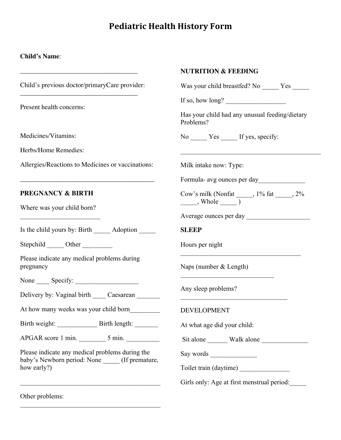# **Pediatric Health History Form**

#### **Child's Name**:

Child's previous doctor/primaryCare provider:

\_\_\_\_\_\_\_\_\_\_\_\_\_\_\_\_\_\_\_\_\_\_\_\_\_\_\_\_\_\_\_\_\_\_\_

\_\_\_\_\_\_\_\_\_\_\_\_\_\_\_\_\_\_\_\_\_\_\_\_\_\_\_\_\_\_\_\_\_\_\_

Present health concerns:

Medicines/Vitamins:

Herbs/Home Remedies:

Allergies/Reactions to Medicines or vaccinations:

\_\_\_\_\_\_\_\_\_\_\_\_\_\_\_\_\_\_\_\_\_\_\_\_\_\_\_\_\_\_\_\_\_\_\_\_\_\_\_\_

#### **PREGNANCY & BIRTH**

Where was your child born?  $\overline{\phantom{a}}$  , where  $\overline{\phantom{a}}$ 

Is the child yours by: Birth Adoption

Stepchild Other

Please indicate any medical problems during pregnancy

None Specify:

Delivery by: Vaginal birth Caesarean

At how many weeks was your child born

Birth weight: \_\_\_\_\_\_\_\_\_\_\_\_ Birth length: \_\_\_\_\_\_\_

APGAR score 1 min. \_\_\_\_\_\_\_\_ 5 min. \_\_\_\_\_\_\_\_\_\_

Please indicate any medical problems during the baby's Newborn period: None \_\_\_\_\_ (If premature, how early?)

\_\_\_\_\_\_\_\_\_\_\_\_\_\_\_\_\_\_\_\_\_\_\_\_\_\_\_\_\_\_\_\_\_\_\_\_\_\_\_\_\_\_

\_\_\_\_\_\_\_\_\_\_\_\_\_\_\_\_\_\_\_\_\_\_\_\_\_\_\_\_\_\_\_\_\_\_\_\_\_\_\_\_\_\_

Other problems:

|  | <b>NUTRITION &amp; FEEDING</b> |
|--|--------------------------------|
|--|--------------------------------|

Was your child breastfed? No Yes

If so, how long?  $\qquad \qquad$ 

Has your child had any unusual feeding/dietary Problems?

 $\mathcal{L}_\text{max}$ 

No Yes If yes, specify:

Milk intake now: Type:

Formula- avg ounces per day\_\_\_\_\_\_\_\_\_\_\_\_\_\_

Cow's milk (Nonfat \_\_\_\_\_, 1% fat \_\_\_\_\_, 2%  $\frac{1}{\sqrt{1-\frac{1}{2}}}\$ 

\_\_\_\_\_\_\_\_\_\_\_\_\_\_\_\_\_\_\_\_\_\_\_\_\_\_\_\_\_\_\_\_\_\_\_\_

Average ounces per day \_\_\_\_\_\_\_\_\_\_\_\_\_\_\_\_\_\_\_

**SLEEP** 

Hours per night

Naps (number & Length)

 $\mathcal{L}_\text{max}$ 

 $\overline{\phantom{a}}$  , where  $\overline{\phantom{a}}$  , where  $\overline{\phantom{a}}$  , where  $\overline{\phantom{a}}$ 

Any sleep problems?

DEVELOPMENT

At what age did your child:

Sit alone \_\_\_\_\_\_ Walk alone \_\_\_\_\_\_\_\_\_\_\_\_\_\_

Say words

Toilet train (daytime)

Girls only: Age at first menstrual period: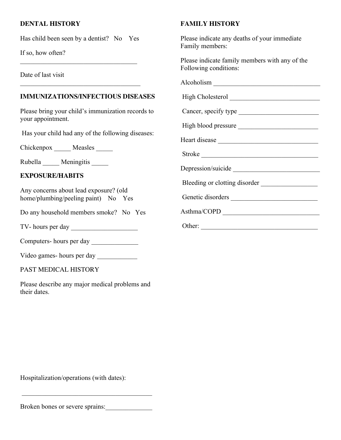## **DENTAL HISTORY**

Has child been seen by a dentist? No Yes

\_\_\_\_\_\_\_\_\_\_\_\_\_\_\_\_\_\_\_\_\_\_\_\_\_\_\_\_\_\_\_\_\_\_\_

\_\_\_\_\_\_\_\_\_\_\_\_\_\_\_\_\_\_\_\_\_\_\_\_\_\_\_\_\_\_\_\_\_\_\_\_

If so, how often?

Date of last visit

## **IMMUNIZATIONS/INFECTIOUS DISEASES**

Please bring your child's immunization records to your appointment.

Has your child had any of the following diseases:

Chickenpox Measles

Rubella Meningitis

#### **EXPOSURE/HABITS**

Any concerns about lead exposure? (old home/plumbing/peeling paint) No Yes

Do any household members smoke? No Yes

TV- hours per day

Computers- hours per day \_\_\_\_\_\_\_\_\_\_\_\_\_\_

Video games- hours per day \_\_\_\_\_\_\_\_\_\_\_\_

PAST MEDICAL HISTORY

Please describe any major medical problems and their dates.

#### **FAMILY HISTORY**

Please indicate any deaths of your immediate Family members:

Please indicate family members with any of the Following conditions:

Alcoholism \_\_\_\_\_\_\_\_\_\_\_\_\_\_\_\_\_\_\_\_\_\_\_\_\_\_\_\_\_\_\_\_ High Cholesterol

Genetic disorders \_\_\_\_\_\_\_\_\_\_\_\_\_\_\_\_\_\_\_\_\_\_\_\_\_\_

Cancer, specify type

High blood pressure

Heart disease \_\_\_\_\_\_\_\_\_\_\_\_\_\_\_\_\_\_\_\_\_\_\_\_\_\_\_\_\_\_

Stroke

Depression/suicide

Bleeding or clotting disorder \_\_\_\_\_\_\_\_\_\_\_\_\_\_\_\_\_

Asthma/COPD \_\_\_\_\_\_\_\_\_\_\_\_\_\_\_\_\_\_\_\_\_\_\_\_\_\_\_\_\_

Other: \_\_\_\_\_\_\_\_\_\_\_\_\_\_\_\_\_\_\_\_\_\_\_\_\_\_\_\_\_\_\_\_\_\_\_

Hospitalization/operations (with dates):

Broken bones or severe sprains:

\_\_\_\_\_\_\_\_\_\_\_\_\_\_\_\_\_\_\_\_\_\_\_\_\_\_\_\_\_\_\_\_\_\_\_\_\_\_\_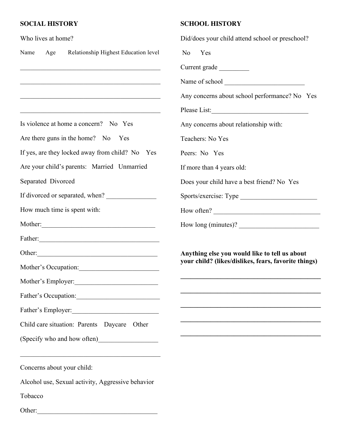## **SOCIAL HISTORY**

| Who lives at home?                                                                                                                                 | Did/does your child attend school or preschool?                                                       |
|----------------------------------------------------------------------------------------------------------------------------------------------------|-------------------------------------------------------------------------------------------------------|
| Name<br>Relationship Highest Education level<br>Age                                                                                                | N <sub>0</sub><br>Yes                                                                                 |
| <u> 1989 - Johann Harry Harry Harry Harry Harry Harry Harry Harry Harry Harry Harry Harry Harry Harry Harry Harry</u>                              | Current grade                                                                                         |
| <u> 2000 - Jan James James James James James James James James James James James James James James James James J</u>                               |                                                                                                       |
| <u> 1989 - Johann Barn, mars an deus an deus Amerikaansk kommunister (* 1950)</u>                                                                  | Any concerns about school performance? No Yes                                                         |
| <u> 1989 - Johann John Stone, mars eta bainar eta bainar eta baina eta baina eta baina eta baina eta baina eta b</u>                               |                                                                                                       |
| Is violence at home a concern? No Yes                                                                                                              | Any concerns about relationship with:                                                                 |
| Are there guns in the home? No Yes                                                                                                                 | Teachers: No Yes                                                                                      |
| If yes, are they locked away from child? No Yes                                                                                                    | Peers: No Yes                                                                                         |
| Are your child's parents: Married Unmarried                                                                                                        | If more than 4 years old:                                                                             |
| Separated Divorced                                                                                                                                 | Does your child have a best friend? No Yes                                                            |
| If divorced or separated, when?                                                                                                                    | Sports/exercise: Type                                                                                 |
| How much time is spent with:                                                                                                                       | How often?                                                                                            |
|                                                                                                                                                    | How long (minutes)?                                                                                   |
|                                                                                                                                                    |                                                                                                       |
| Other:                                                                                                                                             | Anything else you would like to tell us about<br>your child? (likes/dislikes, fears, favorite things) |
| Mother's Occupation:                                                                                                                               |                                                                                                       |
| Mother's Employer:                                                                                                                                 |                                                                                                       |
| Father's Occupation:                                                                                                                               | <u> 1989 - Jan Barnett, fransk politiker (d. 1989)</u>                                                |
| Father's Employer:                                                                                                                                 |                                                                                                       |
| Child care situation: Parents Daycare Other                                                                                                        |                                                                                                       |
|                                                                                                                                                    | <u> 1989 - Johann Barn, fransk politik (d. 1989)</u>                                                  |
| <u> 1989 - Johann John Barn, mars ann an t-Amhain an t-Amhain an t-Amhain an t-Amhain an t-Amhain an t-Amhain an</u><br>Concerns about your child: |                                                                                                       |
| Alcohol use, Sexual activity, Aggressive behavior                                                                                                  |                                                                                                       |
| Tobacco                                                                                                                                            |                                                                                                       |
| Other:<br><u> 1989 - Johann Barn, mars ann an t-Amhain Aonaich an t-Aonaich an t-Aonaich ann an t-Aonaich ann an t-Aonaich</u>                     |                                                                                                       |

**SCHOOL HISTORY**